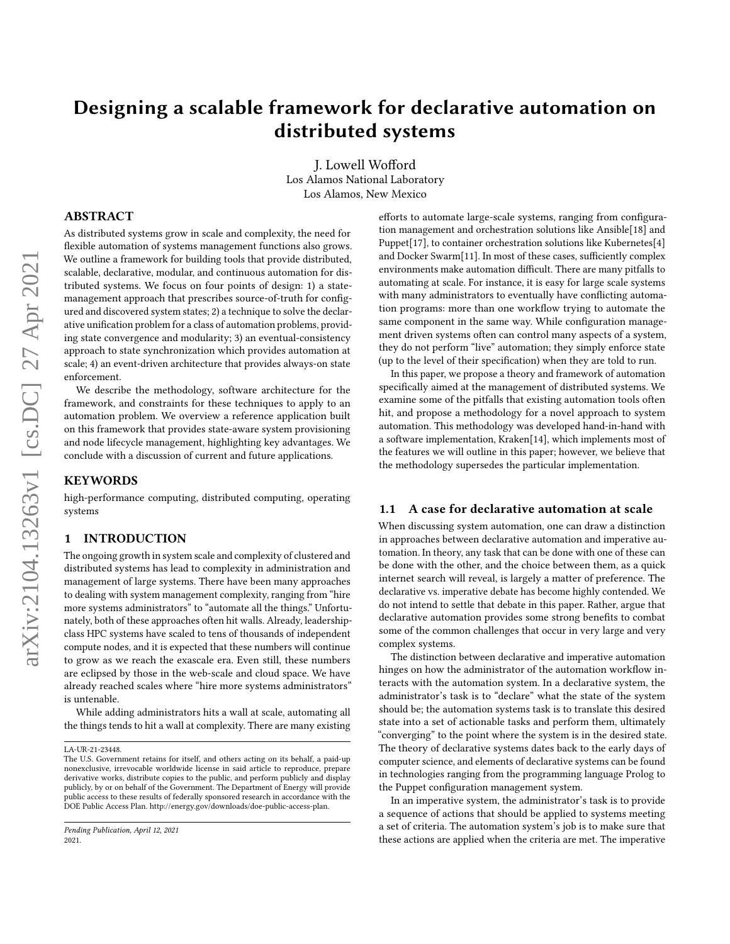# Designing a scalable framework for declarative automation on distributed systems

J. Lowell Wofford Los Alamos National Laboratory Los Alamos, New Mexico

# ABSTRACT

As distributed systems grow in scale and complexity, the need for flexible automation of systems management functions also grows. We outline a framework for building tools that provide distributed, scalable, declarative, modular, and continuous automation for distributed systems. We focus on four points of design: 1) a statemanagement approach that prescribes source-of-truth for configured and discovered system states; 2) a technique to solve the declarative unification problem for a class of automation problems, providing state convergence and modularity; 3) an eventual-consistency approach to state synchronization which provides automation at scale; 4) an event-driven architecture that provides always-on state enforcement.

We describe the methodology, software architecture for the framework, and constraints for these techniques to apply to an automation problem. We overview a reference application built on this framework that provides state-aware system provisioning and node lifecycle management, highlighting key advantages. We conclude with a discussion of current and future applications.

## KEYWORDS

high-performance computing, distributed computing, operating systems

# 1 INTRODUCTION

The ongoing growth in system scale and complexity of clustered and distributed systems has lead to complexity in administration and management of large systems. There have been many approaches to dealing with system management complexity, ranging from "hire more systems administrators" to "automate all the things." Unfortunately, both of these approaches often hit walls. Already, leadershipclass HPC systems have scaled to tens of thousands of independent compute nodes, and it is expected that these numbers will continue to grow as we reach the exascale era. Even still, these numbers are eclipsed by those in the web-scale and cloud space. We have already reached scales where "hire more systems administrators" is untenable.

While adding administrators hits a wall at scale, automating all the things tends to hit a wall at complexity. There are many existing

efforts to automate large-scale systems, ranging from configuration management and orchestration solutions like Ansible[\[18\]](#page-11-0) and Puppet[\[17\]](#page-11-1), to container orchestration solutions like Kubernetes[\[4\]](#page-11-2) and Docker Swarm[\[11\]](#page-11-3). In most of these cases, sufficiently complex environments make automation difficult. There are many pitfalls to automating at scale. For instance, it is easy for large scale systems with many administrators to eventually have conflicting automation programs: more than one workflow trying to automate the same component in the same way. While configuration management driven systems often can control many aspects of a system, they do not perform "live" automation; they simply enforce state (up to the level of their specification) when they are told to run.

In this paper, we propose a theory and framework of automation specifically aimed at the management of distributed systems. We examine some of the pitfalls that existing automation tools often hit, and propose a methodology for a novel approach to system automation. This methodology was developed hand-in-hand with a software implementation, Kraken[\[14\]](#page-11-4), which implements most of the features we will outline in this paper; however, we believe that the methodology supersedes the particular implementation.

## 1.1 A case for declarative automation at scale

When discussing system automation, one can draw a distinction in approaches between declarative automation and imperative automation. In theory, any task that can be done with one of these can be done with the other, and the choice between them, as a quick internet search will reveal, is largely a matter of preference. The declarative vs. imperative debate has become highly contended. We do not intend to settle that debate in this paper. Rather, argue that declarative automation provides some strong benefits to combat some of the common challenges that occur in very large and very complex systems.

The distinction between declarative and imperative automation hinges on how the administrator of the automation workflow interacts with the automation system. In a declarative system, the administrator's task is to "declare" what the state of the system should be; the automation systems task is to translate this desired state into a set of actionable tasks and perform them, ultimately "converging" to the point where the system is in the desired state. The theory of declarative systems dates back to the early days of computer science, and elements of declarative systems can be found in technologies ranging from the programming language Prolog to the Puppet configuration management system.

In an imperative system, the administrator's task is to provide a sequence of actions that should be applied to systems meeting a set of criteria. The automation system's job is to make sure that these actions are applied when the criteria are met. The imperative

LA-UR-21-23448.

The U.S. Government retains for itself, and others acting on its behalf, a paid-up nonexclusive, irrevocable worldwide license in said article to reproduce, prepare derivative works, distribute copies to the public, and perform publicly and display publicly, by or on behalf of the Government. The Department of Energy will provide public access to these results of federally sponsored research in accordance with the DOE Public Access Plan. http://energy.gov/downloads/doe-public-access-plan.

Pending Publication, April 12, 2021 2021.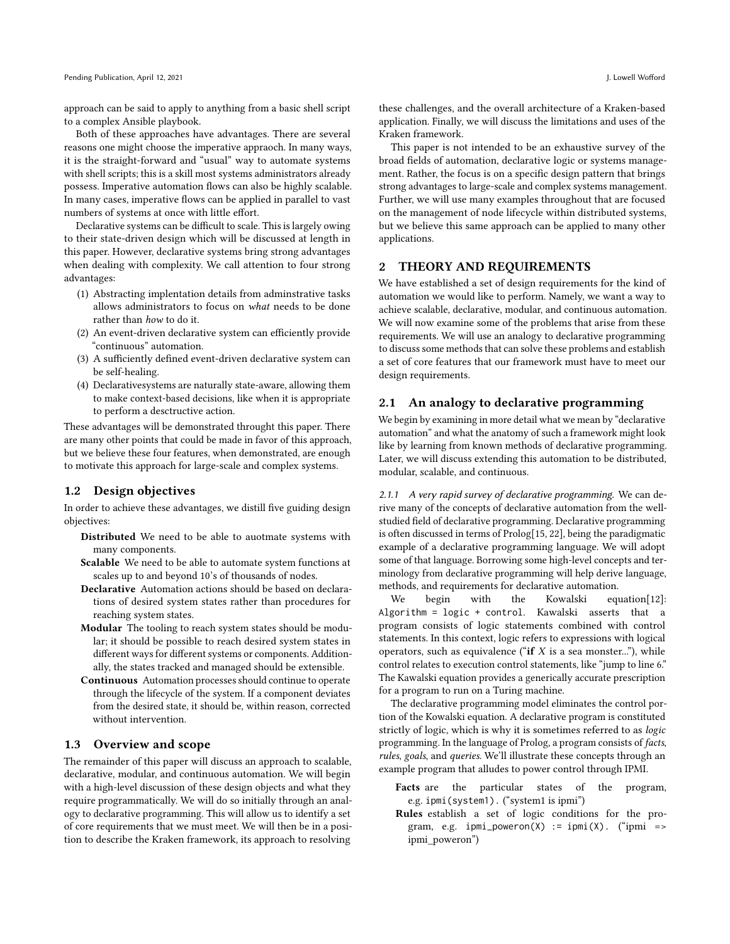approach can be said to apply to anything from a basic shell script to a complex Ansible playbook.

Both of these approaches have advantages. There are several reasons one might choose the imperative appraoch. In many ways, it is the straight-forward and "usual" way to automate systems with shell scripts; this is a skill most systems administrators already possess. Imperative automation flows can also be highly scalable. In many cases, imperative flows can be applied in parallel to vast numbers of systems at once with little effort.

Declarative systems can be difficult to scale. This is largely owing to their state-driven design which will be discussed at length in this paper. However, declarative systems bring strong advantages when dealing with complexity. We call attention to four strong advantages:

- (1) Abstracting implentation details from adminstrative tasks allows administrators to focus on what needs to be done rather than how to do it.
- (2) An event-driven declarative system can efficiently provide "continuous" automation.
- (3) A sufficiently defined event-driven declarative system can be self-healing.
- (4) Declarativesystems are naturally state-aware, allowing them to make context-based decisions, like when it is appropriate to perform a desctructive action.

These advantages will be demonstrated throught this paper. There are many other points that could be made in favor of this approach, but we believe these four features, when demonstrated, are enough to motivate this approach for large-scale and complex systems.

## 1.2 Design objectives

In order to achieve these advantages, we distill five guiding design objectives:

- Distributed We need to be able to auotmate systems with many components.
- Scalable We need to be able to automate system functions at scales up to and beyond 10's of thousands of nodes.
- Declarative Automation actions should be based on declarations of desired system states rather than procedures for reaching system states.
- Modular The tooling to reach system states should be modular; it should be possible to reach desired system states in different ways for different systems or components. Additionally, the states tracked and managed should be extensible.
- Continuous Automation processes should continue to operate through the lifecycle of the system. If a component deviates from the desired state, it should be, within reason, corrected without intervention.

### 1.3 Overview and scope

The remainder of this paper will discuss an approach to scalable, declarative, modular, and continuous automation. We will begin with a high-level discussion of these design objects and what they require programmatically. We will do so initially through an analogy to declarative programming. This will allow us to identify a set of core requirements that we must meet. We will then be in a position to describe the Kraken framework, its approach to resolving

these challenges, and the overall architecture of a Kraken-based application. Finally, we will discuss the limitations and uses of the Kraken framework.

This paper is not intended to be an exhaustive survey of the broad fields of automation, declarative logic or systems management. Rather, the focus is on a specific design pattern that brings strong advantages to large-scale and complex systems management. Further, we will use many examples throughout that are focused on the management of node lifecycle within distributed systems, but we believe this same approach can be applied to many other applications.

## <span id="page-1-1"></span>2 THEORY AND REQUIREMENTS

We have established a set of design requirements for the kind of automation we would like to perform. Namely, we want a way to achieve scalable, declarative, modular, and continuous automation. We will now examine some of the problems that arise from these requirements. We will use an analogy to declarative programming to discuss some methods that can solve these problems and establish a set of core features that our framework must have to meet our design requirements.

# 2.1 An analogy to declarative programming

We begin by examining in more detail what we mean by "declarative automation" and what the anatomy of such a framework might look like by learning from known methods of declarative programming. Later, we will discuss extending this automation to be distributed, modular, scalable, and continuous.

<span id="page-1-0"></span>2.1.1 A very rapid survey of declarative programming. We can derive many of the concepts of declarative automation from the wellstudied field of declarative programming. Declarative programming is often discussed in terms of Prolog[\[15,](#page-11-5) [22\]](#page-11-6), being the paradigmatic example of a declarative programming language. We will adopt some of that language. Borrowing some high-level concepts and terminology from declarative programming will help derive language, methods, and requirements for declarative automation.

We begin with the Kowalski equation[\[12\]](#page-11-7): Algorithm = logic + control. Kawalski asserts that a program consists of logic statements combined with control statements. In this context, logic refers to expressions with logical operators, such as equivalence ("if  $X$  is a sea monster..."), while control relates to execution control statements, like "jump to line 6." The Kawalski equation provides a generically accurate prescription for a program to run on a Turing machine.

The declarative programming model eliminates the control portion of the Kowalski equation. A declarative program is constituted strictly of logic, which is why it is sometimes referred to as logic programming. In the language of Prolog, a program consists of facts, rules, goals, and queries. We'll illustrate these concepts through an example program that alludes to power control through IPMI.

- Facts are the particular states of the program, e.g. ipmi(system1). ("system1 is ipmi")
- Rules establish a set of logic conditions for the program, e.g.  $ipmi\_poweron(X) := ipmi(X)$ . ("ipmi => ipmi\_poweron")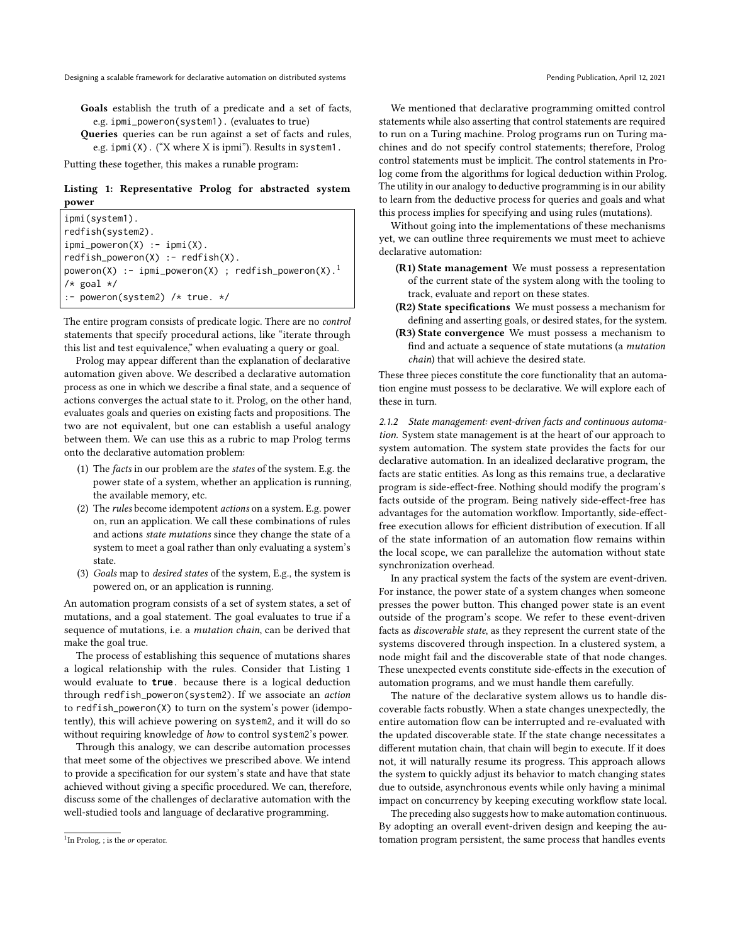Goals establish the truth of a predicate and a set of facts, e.g. ipmi\_poweron(system1). (evaluates to true)

Queries queries can be run against a set of facts and rules, e.g. ipmi(X). ("X where X is ipmi"). Results in system1.

Putting these together, this makes a runable program:

## <span id="page-2-1"></span>Listing 1: Representative Prolog for abstracted system power

ipmi(system1). redfish(system2).  $ipmi\_poweron(X) :- ipmi(X).$  $redfish\_poweron(X) :- redfish(X).$ poweron(X) :- ipmi\_poweron(X) ; redfish\_poweron(X).<sup>[1](#page-2-0)</sup>  $/*$  goal  $*/$ :- poweron(system2) /\* true. \*/

The entire program consists of predicate logic. There are no *control* statements that specify procedural actions, like "iterate through this list and test equivalence," when evaluating a query or goal.

Prolog may appear different than the explanation of declarative automation given above. We described a declarative automation process as one in which we describe a final state, and a sequence of actions converges the actual state to it. Prolog, on the other hand, evaluates goals and queries on existing facts and propositions. The two are not equivalent, but one can establish a useful analogy between them. We can use this as a rubric to map Prolog terms onto the declarative automation problem:

- (1) The facts in our problem are the states of the system. E.g. the power state of a system, whether an application is running, the available memory, etc.
- (2) The rules become idempotent actions on a system. E.g. power on, run an application. We call these combinations of rules and actions state mutations since they change the state of a system to meet a goal rather than only evaluating a system's state.
- (3) Goals map to desired states of the system, E.g., the system is powered on, or an application is running.

An automation program consists of a set of system states, a set of mutations, and a goal statement. The goal evaluates to true if a sequence of mutations, i.e. a mutation chain, can be derived that make the goal true.

The process of establishing this sequence of mutations shares a logical relationship with the rules. Consider that Listing [1](#page-2-1) would evaluate to **true**. because there is a logical deduction through redfish\_poweron(system2). If we associate an action to redfish\_poweron(X) to turn on the system's power (idempotently), this will achieve powering on system2, and it will do so without requiring knowledge of how to control system2's power.

Through this analogy, we can describe automation processes that meet some of the objectives we prescribed above. We intend to provide a specification for our system's state and have that state achieved without giving a specific procedured. We can, therefore, discuss some of the challenges of declarative automation with the well-studied tools and language of declarative programming.

We mentioned that declarative programming omitted control statements while also asserting that control statements are required to run on a Turing machine. Prolog programs run on Turing machines and do not specify control statements; therefore, Prolog control statements must be implicit. The control statements in Prolog come from the algorithms for logical deduction within Prolog. The utility in our analogy to deductive programming is in our ability to learn from the deductive process for queries and goals and what this process implies for specifying and using rules (mutations).

Without going into the implementations of these mechanisms yet, we can outline three requirements we must meet to achieve declarative automation:

- (R1) State management We must possess a representation of the current state of the system along with the tooling to track, evaluate and report on these states.
- <span id="page-2-4"></span><span id="page-2-3"></span>(R2) State specifications We must possess a mechanism for defining and asserting goals, or desired states, for the system.
- (R3) State convergence We must possess a mechanism to find and actuate a sequence of state mutations (a mutation chain) that will achieve the desired state.

These three pieces constitute the core functionality that an automation engine must possess to be declarative. We will explore each of these in turn.

<span id="page-2-2"></span>2.1.2 State management: event-driven facts and continuous automation. System state management is at the heart of our approach to system automation. The system state provides the facts for our declarative automation. In an idealized declarative program, the facts are static entities. As long as this remains true, a declarative program is side-effect-free. Nothing should modify the program's facts outside of the program. Being natively side-effect-free has advantages for the automation workflow. Importantly, side-effectfree execution allows for efficient distribution of execution. If all of the state information of an automation flow remains within the local scope, we can parallelize the automation without state synchronization overhead.

In any practical system the facts of the system are event-driven. For instance, the power state of a system changes when someone presses the power button. This changed power state is an event outside of the program's scope. We refer to these event-driven facts as discoverable state, as they represent the current state of the systems discovered through inspection. In a clustered system, a node might fail and the discoverable state of that node changes. These unexpected events constitute side-effects in the execution of automation programs, and we must handle them carefully.

The nature of the declarative system allows us to handle discoverable facts robustly. When a state changes unexpectedly, the entire automation flow can be interrupted and re-evaluated with the updated discoverable state. If the state change necessitates a different mutation chain, that chain will begin to execute. If it does not, it will naturally resume its progress. This approach allows the system to quickly adjust its behavior to match changing states due to outside, asynchronous events while only having a minimal impact on concurrency by keeping executing workflow state local.

The preceding also suggests how to make automation continuous. By adopting an overall event-driven design and keeping the automation program persistent, the same process that handles events

<span id="page-2-0"></span><sup>&</sup>lt;sup>1</sup>In Prolog, ; is the *or* operator.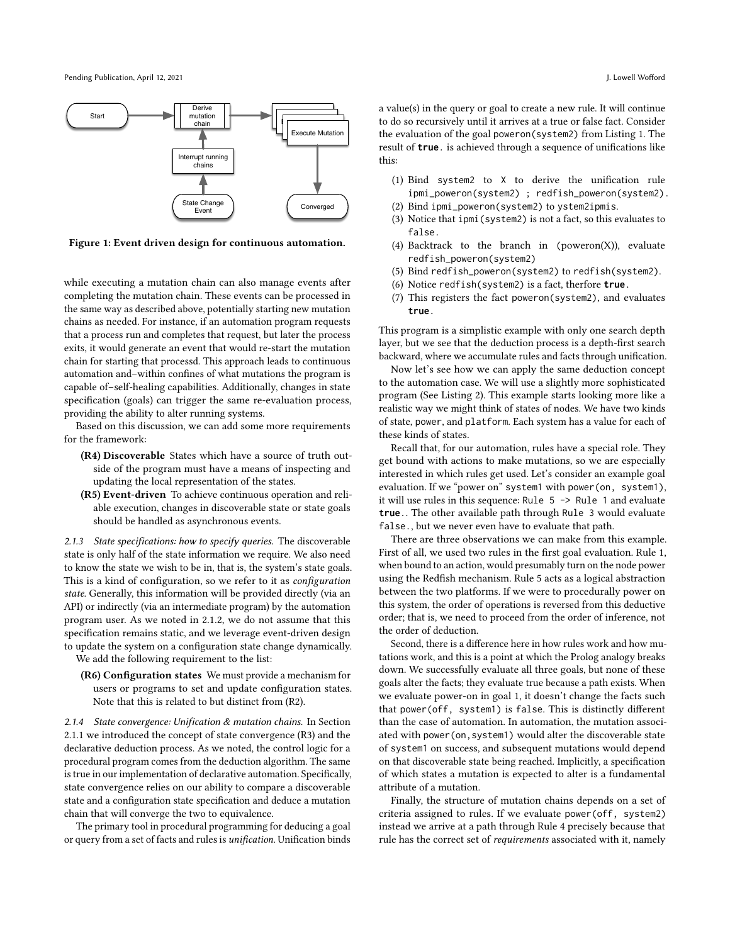Pending Publication, April 12, 2021 **J. Lowell Wofford** States and April 2021 **J. Lowell Wofford** J. Lowell Wofford



Figure 1: Event driven design for continuous automation.

while executing a mutation chain can also manage events after completing the mutation chain. These events can be processed in the same way as described above, potentially starting new mutation chains as needed. For instance, if an automation program requests that a process run and completes that request, but later the process exits, it would generate an event that would re-start the mutation chain for starting that processd. This approach leads to continuous automation and–within confines of what mutations the program is capable of–self-healing capabilities. Additionally, changes in state specification (goals) can trigger the same re-evaluation process, providing the ability to alter running systems.

Based on this discussion, we can add some more requirements for the framework:

- (R4) Discoverable States which have a source of truth outside of the program must have a means of inspecting and updating the local representation of the states.
- (R5) Event-driven To achieve continuous operation and reliable execution, changes in discoverable state or state goals should be handled as asynchronous events.

2.1.3 State specifications: how to specify queries. The discoverable state is only half of the state information we require. We also need to know the state we wish to be in, that is, the system's state goals. This is a kind of configuration, so we refer to it as *configuration* state. Generally, this information will be provided directly (via an API) or indirectly (via an intermediate program) by the automation program user. As we noted in [2.1.2,](#page-2-2) we do not assume that this specification remains static, and we leverage event-driven design to update the system on a configuration state change dynamically.

We add the following requirement to the list:

(R6) Configuration states We must provide a mechanism for users or programs to set and update configuration states. Note that this is related to but distinct from ([R2\)](#page-2-3).

<span id="page-3-1"></span>2.1.4 State convergence: Unification & mutation chains. In Section [2.1.1](#page-1-0) we introduced the concept of state convergence ([R3\)](#page-2-4) and the declarative deduction process. As we noted, the control logic for a procedural program comes from the deduction algorithm. The same is true in our implementation of declarative automation. Specifically, state convergence relies on our ability to compare a discoverable state and a configuration state specification and deduce a mutation chain that will converge the two to equivalence.

The primary tool in procedural programming for deducing a goal or query from a set of facts and rules is unification. Unification binds a value(s) in the query or goal to create a new rule. It will continue to do so recursively until it arrives at a true or false fact. Consider the evaluation of the goal poweron(system2) from Listing [1.](#page-2-1) The result of **true**. is achieved through a sequence of unifications like this:

- (1) Bind system2 to X to derive the unification rule ipmi\_poweron(system2) ; redfish\_poweron(system2). (2) Bind ipmi\_poweron(system2) to ystem2ipmis.
- 
- (3) Notice that ipmi(system2) is not a fact, so this evaluates to false.
- (4) Backtrack to the branch in (poweron(X)), evaluate redfish\_poweron(system2)
- (5) Bind redfish\_poweron(system2) to redfish(system2).
- (6) Notice redfish(system2) is a fact, therfore **true**.
- (7) This registers the fact poweron(system2), and evaluates **true**.

This program is a simplistic example with only one search depth layer, but we see that the deduction process is a depth-first search backward, where we accumulate rules and facts through unification.

Now let's see how we can apply the same deduction concept to the automation case. We will use a slightly more sophisticated program (See Listing [2\)](#page-4-0). This example starts looking more like a realistic way we might think of states of nodes. We have two kinds of state, power, and platform. Each system has a value for each of these kinds of states.

<span id="page-3-0"></span>Recall that, for our automation, rules have a special role. They get bound with actions to make mutations, so we are especially interested in which rules get used. Let's consider an example goal evaluation. If we "power on" system1 with power(on, system1), it will use rules in this sequence: Rule 5 -> Rule 1 and evaluate **true**.. The other available path through Rule 3 would evaluate false., but we never even have to evaluate that path.

There are three observations we can make from this example. First of all, we used two rules in the first goal evaluation. Rule 1, when bound to an action, would presumably turn on the node power using the Redfish mechanism. Rule 5 acts as a logical abstraction between the two platforms. If we were to procedurally power on this system, the order of operations is reversed from this deductive order; that is, we need to proceed from the order of inference, not the order of deduction.

Second, there is a difference here in how rules work and how mutations work, and this is a point at which the Prolog analogy breaks down. We successfully evaluate all three goals, but none of these goals alter the facts; they evaluate true because a path exists. When we evaluate power-on in goal 1, it doesn't change the facts such that power(off, system1) is false. This is distinctly different than the case of automation. In automation, the mutation associated with power(on,system1) would alter the discoverable state of system1 on success, and subsequent mutations would depend on that discoverable state being reached. Implicitly, a specification of which states a mutation is expected to alter is a fundamental attribute of a mutation.

Finally, the structure of mutation chains depends on a set of criteria assigned to rules. If we evaluate power(off, system2) instead we arrive at a path through Rule 4 precisely because that rule has the correct set of requirements associated with it, namely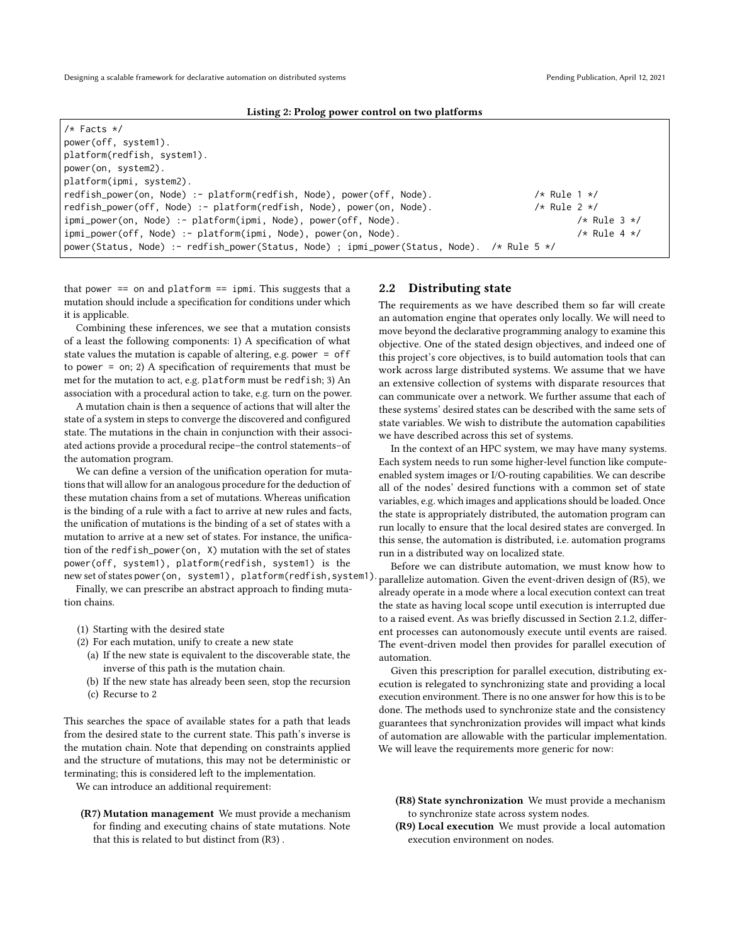<span id="page-4-0"></span>

| $/*$ Facts $*/$                                                                             |                     |                  |
|---------------------------------------------------------------------------------------------|---------------------|------------------|
| power(off, system1).                                                                        |                     |                  |
| platform(redfish, system1).                                                                 |                     |                  |
| power(on, system2).                                                                         |                     |                  |
| platform(ipmi, system2).                                                                    |                     |                  |
| redfish_power(on, Node) :- platform(redfish, Node), power(off, Node).                       | $/*$ Rule 1 $*/$    |                  |
| redfish_power(off, Node) :- platform(redfish, Node), power(on, Node).                       | /* Rule $2 \star$ / |                  |
| ipmi_power(on, Node) :- platform(ipmi, Node), power(off, Node).                             |                     | $/*$ Rule 3 $*/$ |
| ipmi_power(off, Node) :- platform(ipmi, Node), power(on, Node).                             |                     | $/*$ Rule 4 $*/$ |
| power(Status, Node) :- redfish_power(Status, Node) ; ipmi_power(Status, Node). /* Rule 5 */ |                     |                  |

that power  $==$  on and platform  $==$  ipmi. This suggests that a mutation should include a specification for conditions under which it is applicable.

Combining these inferences, we see that a mutation consists of a least the following components: 1) A specification of what state values the mutation is capable of altering, e.g. power = off to power = on; 2) A specification of requirements that must be met for the mutation to act, e.g. platform must be redfish; 3) An association with a procedural action to take, e.g. turn on the power.

A mutation chain is then a sequence of actions that will alter the state of a system in steps to converge the discovered and configured state. The mutations in the chain in conjunction with their associated actions provide a procedural recipe–the control statements–of the automation program.

We can define a version of the unification operation for mutations that will allow for an analogous procedure for the deduction of these mutation chains from a set of mutations. Whereas unification is the binding of a rule with a fact to arrive at new rules and facts, the unification of mutations is the binding of a set of states with a mutation to arrive at a new set of states. For instance, the unification of the redfish\_power(on, X) mutation with the set of states power(off, system1), platform(redfish, system1) is the new set of states power(on, system1), platform(redfish, system1)

Finally, we can prescribe an abstract approach to finding mutation chains.

- (1) Starting with the desired state
- (2) For each mutation, unify to create a new state
	- (a) If the new state is equivalent to the discoverable state, the inverse of this path is the mutation chain.
	- (b) If the new state has already been seen, stop the recursion
	- (c) Recurse to 2

This searches the space of available states for a path that leads from the desired state to the current state. This path's inverse is the mutation chain. Note that depending on constraints applied and the structure of mutations, this may not be deterministic or terminating; this is considered left to the implementation.

We can introduce an additional requirement:

(R7) Mutation management We must provide a mechanism for finding and executing chains of state mutations. Note that this is related to but distinct from ([R3\)](#page-2-4) .

## 2.2 Distributing state

The requirements as we have described them so far will create an automation engine that operates only locally. We will need to move beyond the declarative programming analogy to examine this objective. One of the stated design objectives, and indeed one of this project's core objectives, is to build automation tools that can work across large distributed systems. We assume that we have an extensive collection of systems with disparate resources that can communicate over a network. We further assume that each of these systems' desired states can be described with the same sets of state variables. We wish to distribute the automation capabilities we have described across this set of systems.

In the context of an HPC system, we may have many systems. Each system needs to run some higher-level function like computeenabled system images or I/O-routing capabilities. We can describe all of the nodes' desired functions with a common set of state variables, e.g. which images and applications should be loaded. Once the state is appropriately distributed, the automation program can run locally to ensure that the local desired states are converged. In this sense, the automation is distributed, i.e. automation programs run in a distributed way on localized state.

Before we can distribute automation, we must know how to parallelize automation. Given the event-driven design of ([R5\)](#page-3-0), we already operate in a mode where a local execution context can treat the state as having local scope until execution is interrupted due to a raised event. As was briefly discussed in Section [2.1.2,](#page-2-2) different processes can autonomously execute until events are raised. The event-driven model then provides for parallel execution of automation.

Given this prescription for parallel execution, distributing execution is relegated to synchronizing state and providing a local execution environment. There is no one answer for how this is to be done. The methods used to synchronize state and the consistency guarantees that synchronization provides will impact what kinds of automation are allowable with the particular implementation. We will leave the requirements more generic for now:

(R8) State synchronization We must provide a mechanism to synchronize state across system nodes.

<span id="page-4-1"></span><sup>(</sup>R9) Local execution We must provide a local automation execution environment on nodes.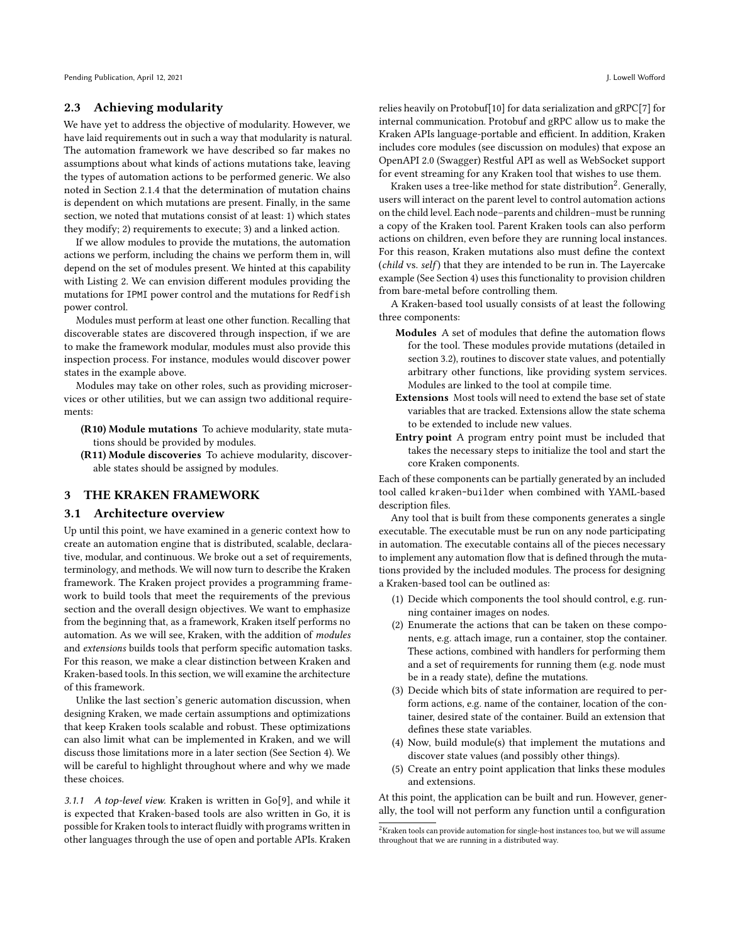# 2.3 Achieving modularity

We have yet to address the objective of modularity. However, we have laid requirements out in such a way that modularity is natural. The automation framework we have described so far makes no assumptions about what kinds of actions mutations take, leaving the types of automation actions to be performed generic. We also noted in Section [2.1.4](#page-3-1) that the determination of mutation chains is dependent on which mutations are present. Finally, in the same section, we noted that mutations consist of at least: 1) which states they modify; 2) requirements to execute; 3) and a linked action.

If we allow modules to provide the mutations, the automation actions we perform, including the chains we perform them in, will depend on the set of modules present. We hinted at this capability with Listing [2.](#page-4-0) We can envision different modules providing the mutations for IPMI power control and the mutations for Redfish power control.

Modules must perform at least one other function. Recalling that discoverable states are discovered through inspection, if we are to make the framework modular, modules must also provide this inspection process. For instance, modules would discover power states in the example above.

Modules may take on other roles, such as providing microservices or other utilities, but we can assign two additional requirements:

- (R10) Module mutations To achieve modularity, state mutations should be provided by modules.
- (R11) Module discoveries To achieve modularity, discoverable states should be assigned by modules.

# 3 THE KRAKEN FRAMEWORK

#### <span id="page-5-2"></span>3.1 Architecture overview

Up until this point, we have examined in a generic context how to create an automation engine that is distributed, scalable, declarative, modular, and continuous. We broke out a set of requirements, terminology, and methods. We will now turn to describe the Kraken framework. The Kraken project provides a programming framework to build tools that meet the requirements of the previous section and the overall design objectives. We want to emphasize from the beginning that, as a framework, Kraken itself performs no automation. As we will see, Kraken, with the addition of modules and extensions builds tools that perform specific automation tasks. For this reason, we make a clear distinction between Kraken and Kraken-based tools. In this section, we will examine the architecture of this framework.

Unlike the last section's generic automation discussion, when designing Kraken, we made certain assumptions and optimizations that keep Kraken tools scalable and robust. These optimizations can also limit what can be implemented in Kraken, and we will discuss those limitations more in a later section (See Section [4\)](#page-10-0). We will be careful to highlight throughout where and why we made these choices.

3.1.1 A top-level view. Kraken is written in Go[\[9\]](#page-11-8), and while it is expected that Kraken-based tools are also written in Go, it is possible for Kraken tools to interact fluidly with programs written in other languages through the use of open and portable APIs. Kraken relies heavily on Protobuf[\[10\]](#page-11-9) for data serialization and gRPC[\[7\]](#page-11-10) for internal communication. Protobuf and gRPC allow us to make the Kraken APIs language-portable and efficient. In addition, Kraken includes core modules (see discussion on modules) that expose an OpenAPI 2.0 (Swagger) Restful API as well as WebSocket support for event streaming for any Kraken tool that wishes to use them.

Kraken uses a tree-like method for state distribution $^2$  $^2$ . Generally, users will interact on the parent level to control automation actions on the child level. Each node–parents and children–must be running a copy of the Kraken tool. Parent Kraken tools can also perform actions on children, even before they are running local instances. For this reason, Kraken mutations also must define the context (child vs. self) that they are intended to be run in. The Layercake example (See Section [4\)](#page-10-0) uses this functionality to provision children from bare-metal before controlling them.

A Kraken-based tool usually consists of at least the following three components:

- Modules A set of modules that define the automation flows for the tool. These modules provide mutations (detailed in section [3.2\)](#page-7-0), routines to discover state values, and potentially arbitrary other functions, like providing system services. Modules are linked to the tool at compile time.
- Extensions Most tools will need to extend the base set of state variables that are tracked. Extensions allow the state schema to be extended to include new values.
- Entry point A program entry point must be included that takes the necessary steps to initialize the tool and start the core Kraken components.

<span id="page-5-1"></span>Each of these components can be partially generated by an included tool called kraken-builder when combined with YAML-based description files.

Any tool that is built from these components generates a single executable. The executable must be run on any node participating in automation. The executable contains all of the pieces necessary to implement any automation flow that is defined through the mutations provided by the included modules. The process for designing a Kraken-based tool can be outlined as:

- (1) Decide which components the tool should control, e.g. running container images on nodes.
- (2) Enumerate the actions that can be taken on these components, e.g. attach image, run a container, stop the container. These actions, combined with handlers for performing them and a set of requirements for running them (e.g. node must be in a ready state), define the mutations.
- (3) Decide which bits of state information are required to perform actions, e.g. name of the container, location of the container, desired state of the container. Build an extension that defines these state variables.
- (4) Now, build module(s) that implement the mutations and discover state values (and possibly other things).
- (5) Create an entry point application that links these modules and extensions.

At this point, the application can be built and run. However, generally, the tool will not perform any function until a configuration

<span id="page-5-0"></span><sup>&</sup>lt;sup>2</sup>Kraken tools can provide automation for single-host instances too, but we will assume throughout that we are running in a distributed way.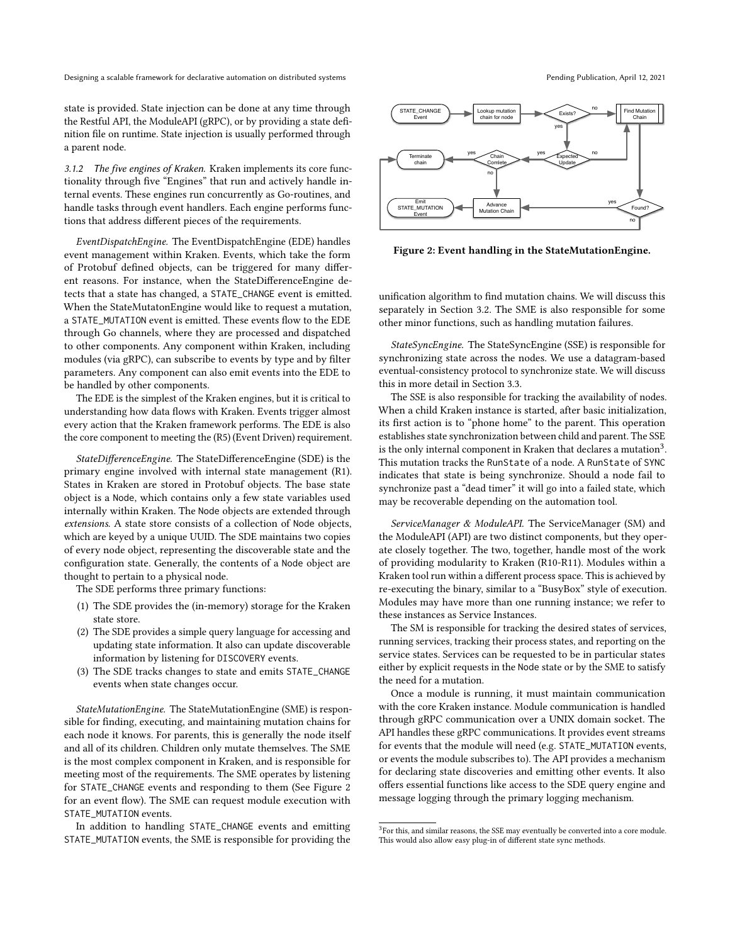state is provided. State injection can be done at any time through the Restful API, the ModuleAPI (gRPC), or by providing a state definition file on runtime. State injection is usually performed through a parent node.

3.1.2 The five engines of Kraken. Kraken implements its core functionality through five "Engines" that run and actively handle internal events. These engines run concurrently as Go-routines, and handle tasks through event handlers. Each engine performs functions that address different pieces of the requirements.

EventDispatchEngine. The EventDispatchEngine (EDE) handles event management within Kraken. Events, which take the form of Protobuf defined objects, can be triggered for many different reasons. For instance, when the StateDifferenceEngine detects that a state has changed, a STATE\_CHANGE event is emitted. When the StateMutatonEngine would like to request a mutation, a STATE\_MUTATION event is emitted. These events flow to the EDE through Go channels, where they are processed and dispatched to other components. Any component within Kraken, including modules (via gRPC), can subscribe to events by type and by filter parameters. Any component can also emit events into the EDE to be handled by other components.

The EDE is the simplest of the Kraken engines, but it is critical to understanding how data flows with Kraken. Events trigger almost every action that the Kraken framework performs. The EDE is also the core component to meeting the ([R5\)](#page-3-0) (Event Driven) requirement.

StateDifferenceEngine. The StateDifferenceEngine (SDE) is the primary engine involved with internal state management (R1). States in Kraken are stored in Protobuf objects. The base state object is a Node, which contains only a few state variables used internally within Kraken. The Node objects are extended through extensions. A state store consists of a collection of Node objects, which are keyed by a unique UUID. The SDE maintains two copies of every node object, representing the discoverable state and the configuration state. Generally, the contents of a Node object are thought to pertain to a physical node.

The SDE performs three primary functions:

- (1) The SDE provides the (in-memory) storage for the Kraken state store.
- (2) The SDE provides a simple query language for accessing and updating state information. It also can update discoverable information by listening for DISCOVERY events.
- (3) The SDE tracks changes to state and emits STATE\_CHANGE events when state changes occur.

StateMutationEngine. The StateMutationEngine (SME) is responsible for finding, executing, and maintaining mutation chains for each node it knows. For parents, this is generally the node itself and all of its children. Children only mutate themselves. The SME is the most complex component in Kraken, and is responsible for meeting most of the requirements. The SME operates by listening for STATE\_CHANGE events and responding to them (See Figure [2](#page-6-0) for an event flow). The SME can request module execution with STATE\_MUTATION events.

In addition to handling STATE\_CHANGE events and emitting STATE\_MUTATION events, the SME is responsible for providing the

<span id="page-6-0"></span>

Figure 2: Event handling in the StateMutationEngine.

unification algorithm to find mutation chains. We will discuss this separately in Section [3.2.](#page-7-0) The SME is also responsible for some other minor functions, such as handling mutation failures.

StateSyncEngine. The StateSyncEngine (SSE) is responsible for synchronizing state across the nodes. We use a datagram-based eventual-consistency protocol to synchronize state. We will discuss this in more detail in Section [3.3.](#page-9-0)

The SSE is also responsible for tracking the availability of nodes. When a child Kraken instance is started, after basic initialization, its first action is to "phone home" to the parent. This operation establishes state synchronization between child and parent. The SSE is the only internal component in Kraken that declares a mutation<sup>[3](#page-6-1)</sup>. This mutation tracks the RunState of a node. A RunState of SYNC indicates that state is being synchronize. Should a node fail to synchronize past a "dead timer" it will go into a failed state, which may be recoverable depending on the automation tool.

ServiceManager & ModuleAPI. The ServiceManager (SM) and the ModuleAPI (API) are two distinct components, but they operate closely together. The two, together, handle most of the work of providing modularity to Kraken ([R10-](#page-4-1)[R11\)](#page-5-1). Modules within a Kraken tool run within a different process space. This is achieved by re-executing the binary, similar to a "BusyBox" style of execution. Modules may have more than one running instance; we refer to these instances as Service Instances.

The SM is responsible for tracking the desired states of services, running services, tracking their process states, and reporting on the service states. Services can be requested to be in particular states either by explicit requests in the Node state or by the SME to satisfy the need for a mutation.

Once a module is running, it must maintain communication with the core Kraken instance. Module communication is handled through gRPC communication over a UNIX domain socket. The API handles these gRPC communications. It provides event streams for events that the module will need (e.g. STATE\_MUTATION events, or events the module subscribes to). The API provides a mechanism for declaring state discoveries and emitting other events. It also offers essential functions like access to the SDE query engine and message logging through the primary logging mechanism.

<span id="page-6-1"></span> $\rm{^{3}F}$ or this, and similar reasons, the SSE may eventually be converted into a core module. This would also allow easy plug-in of different state sync methods.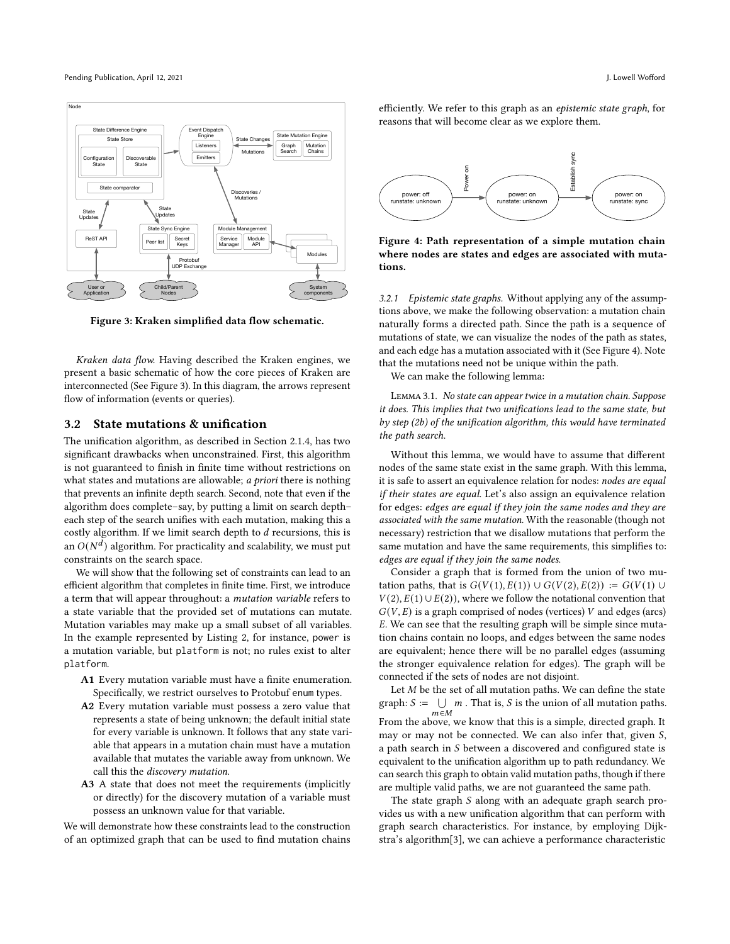Pending Publication, April 12, 2021 and 2021 J. Lowell Wofford Unit at the Unit of the Unit of the Unit of the Unit of the Unit of the Unit of the Unit of the Unit of the Unit of the Unit of the Unit of the Unit of the Uni

<span id="page-7-1"></span>

Figure 3: Kraken simplified data flow schematic.

Kraken data flow. Having described the Kraken engines, we present a basic schematic of how the core pieces of Kraken are interconnected (See Figure [3\)](#page-7-1). In this diagram, the arrows represent flow of information (events or queries).

### <span id="page-7-0"></span>3.2 State mutations & unification

The unification algorithm, as described in Section [2.1.4,](#page-3-1) has two significant drawbacks when unconstrained. First, this algorithm is not guaranteed to finish in finite time without restrictions on what states and mutations are allowable; *a priori* there is nothing that prevents an infinite depth search. Second, note that even if the algorithm does complete–say, by putting a limit on search depth– each step of the search unifies with each mutation, making this a costly algorithm. If we limit search depth to  $d$  recursions, this is an  $O(N^d)$  algorithm. For practicality and scalability, we must put constraints on the search space.

We will show that the following set of constraints can lead to an efficient algorithm that completes in finite time. First, we introduce a term that will appear throughout: a mutation variable refers to a state variable that the provided set of mutations can mutate. Mutation variables may make up a small subset of all variables. In the example represented by Listing [2,](#page-4-0) for instance, power is a mutation variable, but platform is not; no rules exist to alter platform.

- A1 Every mutation variable must have a finite enumeration. Specifically, we restrict ourselves to Protobuf enum types.
- A2 Every mutation variable must possess a zero value that represents a state of being unknown; the default initial state for every variable is unknown. It follows that any state variable that appears in a mutation chain must have a mutation available that mutates the variable away from unknown. We call this the discovery mutation.
- A3 A state that does not meet the requirements (implicitly or directly) for the discovery mutation of a variable must possess an unknown value for that variable.

We will demonstrate how these constraints lead to the construction of an optimized graph that can be used to find mutation chains efficiently. We refer to this graph as an epistemic state graph, for reasons that will become clear as we explore them.

<span id="page-7-2"></span>

Figure 4: Path representation of a simple mutation chain where nodes are states and edges are associated with mutations.

3.2.1 Epistemic state graphs. Without applying any of the assumptions above, we make the following observation: a mutation chain naturally forms a directed path. Since the path is a sequence of mutations of state, we can visualize the nodes of the path as states, and each edge has a mutation associated with it (See Figure [4\)](#page-7-2). Note that the mutations need not be unique within the path.

We can make the following lemma:

<span id="page-7-3"></span>Lemma 3.1. No state can appear twice in a mutation chain. Suppose it does. This implies that two unifications lead to the same state, but by step (2b) of the unification algorithm, this would have terminated the path search.

Without this lemma, we would have to assume that different nodes of the same state exist in the same graph. With this lemma, it is safe to assert an equivalence relation for nodes: nodes are equal if their states are equal. Let's also assign an equivalence relation for edges: edges are equal if they join the same nodes and they are associated with the same mutation. With the reasonable (though not necessary) restriction that we disallow mutations that perform the same mutation and have the same requirements, this simplifies to: edges are equal if they join the same nodes.

Consider a graph that is formed from the union of two mutation paths, that is  $G(V(1), E(1)) \cup G(V(2), E(2)) := G(V(1) \cup$  $V(2), E(1) \cup E(2)$ , where we follow the notational convention that  $G(V, E)$  is a graph comprised of nodes (vertices)  $V$  and edges (arcs) . We can see that the resulting graph will be simple since mutation chains contain no loops, and edges between the same nodes are equivalent; hence there will be no parallel edges (assuming the stronger equivalence relation for edges). The graph will be connected if the sets of nodes are not disjoint.

Let  $M$  be the set of all mutation paths. We can define the state graph:  $S := \bigcup m$ . That is, S is the union of all mutation paths.  $m \in M$ From the above, we know that this is a simple, directed graph. It may or may not be connected. We can also infer that, given  $S$ , a path search in  $S$  between a discovered and configured state is equivalent to the unification algorithm up to path redundancy. We can search this graph to obtain valid mutation paths, though if there are multiple valid paths, we are not guaranteed the same path.

The state graph  $S$  along with an adequate graph search provides us with a new unification algorithm that can perform with graph search characteristics. For instance, by employing Dijkstra's algorithm[\[3\]](#page-11-11), we can achieve a performance characteristic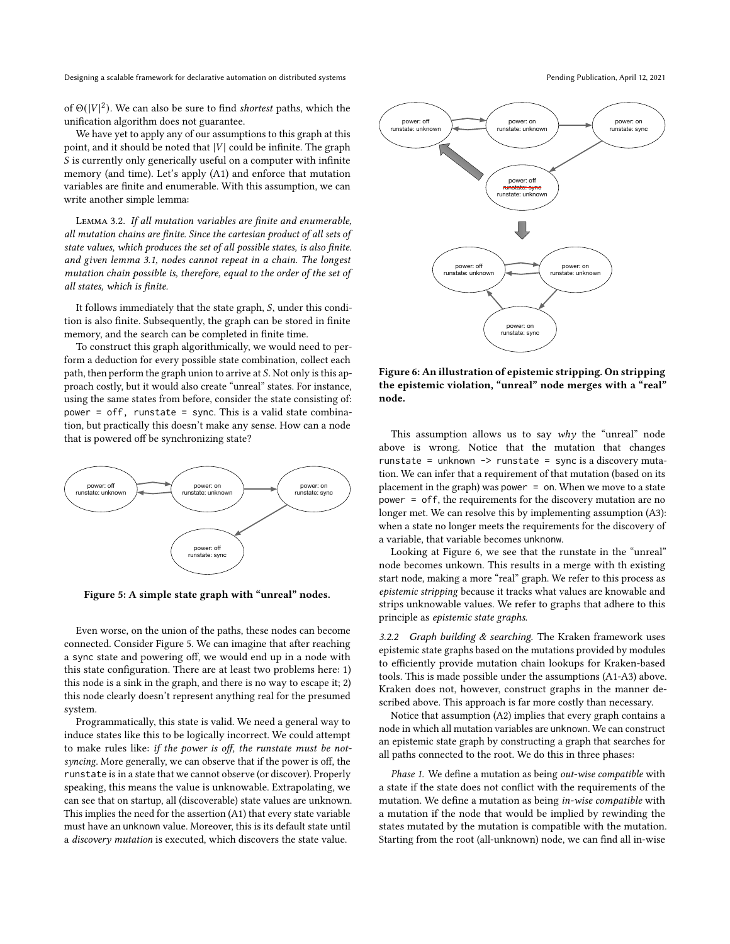of  $\Theta(|V|^2)$ . We can also be sure to find *shortest* paths, which the unification algorithm does not guarantee.

We have yet to apply any of our assumptions to this graph at this point, and it should be noted that  $|V|$  could be infinite. The graph  $S$  is currently only generically useful on a computer with infinite memory (and time). Let's apply (A1) and enforce that mutation variables are finite and enumerable. With this assumption, we can write another simple lemma:

Lemma 3.2. If all mutation variables are finite and enumerable, all mutation chains are finite. Since the cartesian product of all sets of state values, which produces the set of all possible states, is also finite. and given lemma [3.1,](#page-7-3) nodes cannot repeat in a chain. The longest mutation chain possible is, therefore, equal to the order of the set of all states, which is finite.

It follows immediately that the state graph,  $S$ , under this condition is also finite. Subsequently, the graph can be stored in finite memory, and the search can be completed in finite time.

To construct this graph algorithmically, we would need to perform a deduction for every possible state combination, collect each path, then perform the graph union to arrive at  $S$ . Not only is this approach costly, but it would also create "unreal" states. For instance, using the same states from before, consider the state consisting of: power = off, runstate = sync. This is a valid state combination, but practically this doesn't make any sense. How can a node that is powered off be synchronizing state?

<span id="page-8-0"></span>

Figure 5: A simple state graph with "unreal" nodes.

Even worse, on the union of the paths, these nodes can become connected. Consider Figure [5.](#page-8-0) We can imagine that after reaching a sync state and powering off, we would end up in a node with this state configuration. There are at least two problems here: 1) this node is a sink in the graph, and there is no way to escape it; 2) this node clearly doesn't represent anything real for the presumed system.

Programmatically, this state is valid. We need a general way to induce states like this to be logically incorrect. We could attempt to make rules like: if the power is off, the runstate must be notsyncing. More generally, we can observe that if the power is off, the runstate is in a state that we cannot observe (or discover). Properly speaking, this means the value is unknowable. Extrapolating, we can see that on startup, all (discoverable) state values are unknown. This implies the need for the assertion (A1) that every state variable must have an unknown value. Moreover, this is its default state until a discovery mutation is executed, which discovers the state value.





<span id="page-8-1"></span>power: off runstate: unknown

Figure 6: An illustration of epistemic stripping. On stripping the epistemic violation, "unreal" node merges with a "real" node.

This assumption allows us to say  $why$  the "unreal" node above is wrong. Notice that the mutation that changes runstate = unknown  $\rightarrow$  runstate = sync is a discovery mutation. We can infer that a requirement of that mutation (based on its placement in the graph) was power  $=$  on. When we move to a state power = off, the requirements for the discovery mutation are no longer met. We can resolve this by implementing assumption (A3): when a state no longer meets the requirements for the discovery of a variable, that variable becomes unknonw.

Looking at Figure [6,](#page-8-1) we see that the runstate in the "unreal" node becomes unkown. This results in a merge with th existing start node, making a more "real" graph. We refer to this process as epistemic stripping because it tracks what values are knowable and strips unknowable values. We refer to graphs that adhere to this principle as epistemic state graphs.

3.2.2 Graph building  $&$  searching. The Kraken framework uses epistemic state graphs based on the mutations provided by modules to efficiently provide mutation chain lookups for Kraken-based tools. This is made possible under the assumptions (A1-A3) above. Kraken does not, however, construct graphs in the manner described above. This approach is far more costly than necessary.

Notice that assumption (A2) implies that every graph contains a node in which all mutation variables are unknown. We can construct an epistemic state graph by constructing a graph that searches for all paths connected to the root. We do this in three phases:

Phase 1. We define a mutation as being out-wise compatible with a state if the state does not conflict with the requirements of the mutation. We define a mutation as being in-wise compatible with a mutation if the node that would be implied by rewinding the states mutated by the mutation is compatible with the mutation. Starting from the root (all-unknown) node, we can find all in-wise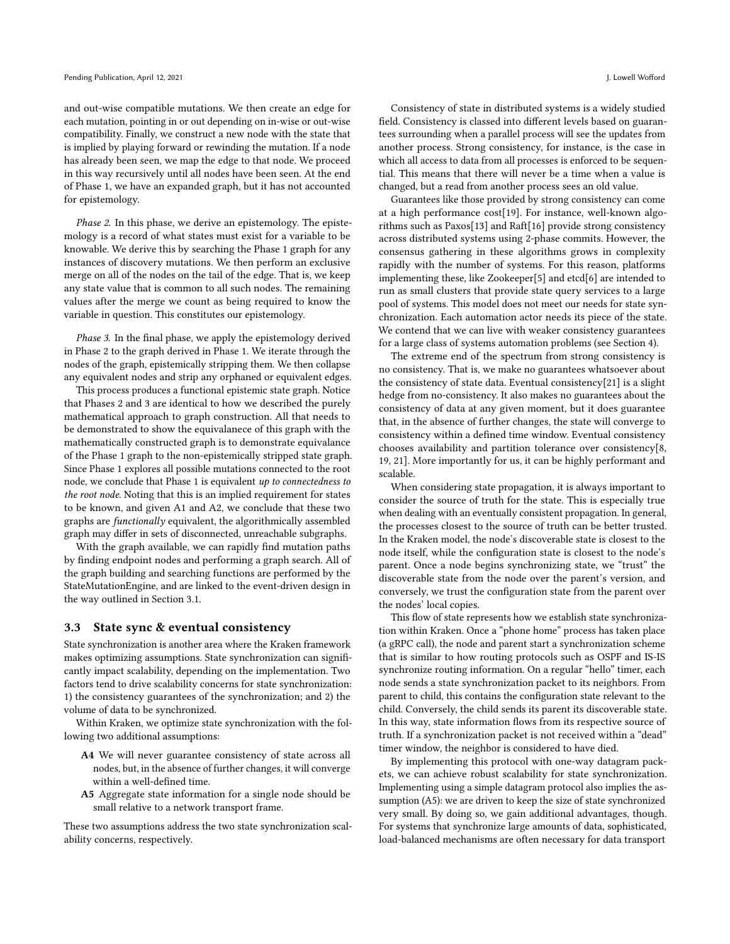and out-wise compatible mutations. We then create an edge for each mutation, pointing in or out depending on in-wise or out-wise compatibility. Finally, we construct a new node with the state that is implied by playing forward or rewinding the mutation. If a node has already been seen, we map the edge to that node. We proceed in this way recursively until all nodes have been seen. At the end of Phase 1, we have an expanded graph, but it has not accounted for epistemology.

Phase 2. In this phase, we derive an epistemology. The epistemology is a record of what states must exist for a variable to be knowable. We derive this by searching the Phase 1 graph for any instances of discovery mutations. We then perform an exclusive merge on all of the nodes on the tail of the edge. That is, we keep any state value that is common to all such nodes. The remaining values after the merge we count as being required to know the variable in question. This constitutes our epistemology.

Phase 3. In the final phase, we apply the epistemology derived in Phase 2 to the graph derived in Phase 1. We iterate through the nodes of the graph, epistemically stripping them. We then collapse any equivalent nodes and strip any orphaned or equivalent edges.

This process produces a functional epistemic state graph. Notice that Phases 2 and 3 are identical to how we described the purely mathematical approach to graph construction. All that needs to be demonstrated to show the equivalanece of this graph with the mathematically constructed graph is to demonstrate equivalance of the Phase 1 graph to the non-epistemically stripped state graph. Since Phase 1 explores all possible mutations connected to the root node, we conclude that Phase 1 is equivalent up to connectedness to the root node. Noting that this is an implied requirement for states to be known, and given A1 and A2, we conclude that these two graphs are functionally equivalent, the algorithmically assembled graph may differ in sets of disconnected, unreachable subgraphs.

With the graph available, we can rapidly find mutation paths by finding endpoint nodes and performing a graph search. All of the graph building and searching functions are performed by the StateMutationEngine, and are linked to the event-driven design in the way outlined in Section [3.1.](#page-5-2)

#### <span id="page-9-0"></span>3.3 State sync & eventual consistency

State synchronization is another area where the Kraken framework makes optimizing assumptions. State synchronization can significantly impact scalability, depending on the implementation. Two factors tend to drive scalability concerns for state synchronization: 1) the consistency guarantees of the synchronization; and 2) the volume of data to be synchronized.

Within Kraken, we optimize state synchronization with the following two additional assumptions:

- A4 We will never guarantee consistency of state across all nodes, but, in the absence of further changes, it will converge within a well-defined time.
- A5 Aggregate state information for a single node should be small relative to a network transport frame.

These two assumptions address the two state synchronization scalability concerns, respectively.

Consistency of state in distributed systems is a widely studied field. Consistency is classed into different levels based on guarantees surrounding when a parallel process will see the updates from another process. Strong consistency, for instance, is the case in which all access to data from all processes is enforced to be sequential. This means that there will never be a time when a value is changed, but a read from another process sees an old value.

Guarantees like those provided by strong consistency can come at a high performance cost[\[19\]](#page-11-12). For instance, well-known algorithms such as Paxos[\[13\]](#page-11-13) and Raft[\[16\]](#page-11-14) provide strong consistency across distributed systems using 2-phase commits. However, the consensus gathering in these algorithms grows in complexity rapidly with the number of systems. For this reason, platforms implementing these, like Zookeeper[\[5\]](#page-11-15) and etcd[\[6\]](#page-11-16) are intended to run as small clusters that provide state query services to a large pool of systems. This model does not meet our needs for state synchronization. Each automation actor needs its piece of the state. We contend that we can live with weaker consistency guarantees for a large class of systems automation problems (see Section [4\)](#page-10-0).

The extreme end of the spectrum from strong consistency is no consistency. That is, we make no guarantees whatsoever about the consistency of state data. Eventual consistency[\[21\]](#page-11-17) is a slight hedge from no-consistency. It also makes no guarantees about the consistency of data at any given moment, but it does guarantee that, in the absence of further changes, the state will converge to consistency within a defined time window. Eventual consistency chooses availability and partition tolerance over consistency[\[8,](#page-11-18) [19,](#page-11-12) [21\]](#page-11-17). More importantly for us, it can be highly performant and scalable.

When considering state propagation, it is always important to consider the source of truth for the state. This is especially true when dealing with an eventually consistent propagation. In general, the processes closest to the source of truth can be better trusted. In the Kraken model, the node's discoverable state is closest to the node itself, while the configuration state is closest to the node's parent. Once a node begins synchronizing state, we "trust" the discoverable state from the node over the parent's version, and conversely, we trust the configuration state from the parent over the nodes' local copies.

This flow of state represents how we establish state synchronization within Kraken. Once a "phone home" process has taken place (a gRPC call), the node and parent start a synchronization scheme that is similar to how routing protocols such as OSPF and IS-IS synchronize routing information. On a regular "hello" timer, each node sends a state synchronization packet to its neighbors. From parent to child, this contains the configuration state relevant to the child. Conversely, the child sends its parent its discoverable state. In this way, state information flows from its respective source of truth. If a synchronization packet is not received within a "dead" timer window, the neighbor is considered to have died.

By implementing this protocol with one-way datagram packets, we can achieve robust scalability for state synchronization. Implementing using a simple datagram protocol also implies the assumption (A5): we are driven to keep the size of state synchronized very small. By doing so, we gain additional advantages, though. For systems that synchronize large amounts of data, sophisticated, load-balanced mechanisms are often necessary for data transport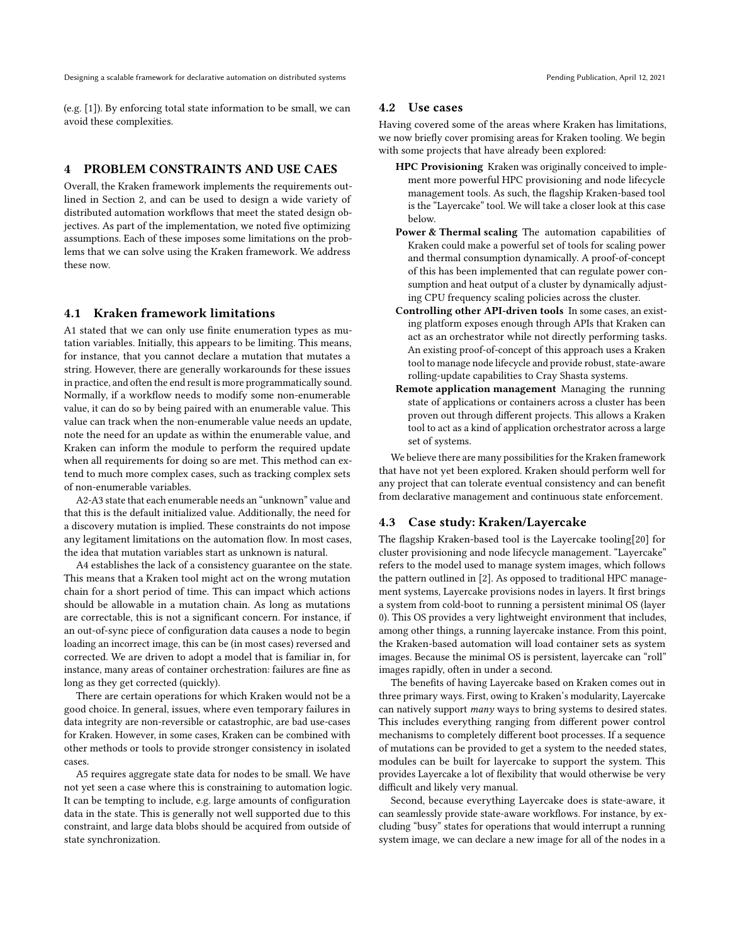(e.g. [\[1\]](#page-11-19)). By enforcing total state information to be small, we can avoid these complexities.

# <span id="page-10-0"></span>4 PROBLEM CONSTRAINTS AND USE CAES

Overall, the Kraken framework implements the requirements outlined in Section [2,](#page-1-1) and can be used to design a wide variety of distributed automation workflows that meet the stated design objectives. As part of the implementation, we noted five optimizing assumptions. Each of these imposes some limitations on the problems that we can solve using the Kraken framework. We address these now.

# 4.1 Kraken framework limitations

A1 stated that we can only use finite enumeration types as mutation variables. Initially, this appears to be limiting. This means, for instance, that you cannot declare a mutation that mutates a string. However, there are generally workarounds for these issues in practice, and often the end result is more programmatically sound. Normally, if a workflow needs to modify some non-enumerable value, it can do so by being paired with an enumerable value. This value can track when the non-enumerable value needs an update, note the need for an update as within the enumerable value, and Kraken can inform the module to perform the required update when all requirements for doing so are met. This method can extend to much more complex cases, such as tracking complex sets of non-enumerable variables.

A2-A3 state that each enumerable needs an "unknown" value and that this is the default initialized value. Additionally, the need for a discovery mutation is implied. These constraints do not impose any legitament limitations on the automation flow. In most cases, the idea that mutation variables start as unknown is natural.

A4 establishes the lack of a consistency guarantee on the state. This means that a Kraken tool might act on the wrong mutation chain for a short period of time. This can impact which actions should be allowable in a mutation chain. As long as mutations are correctable, this is not a significant concern. For instance, if an out-of-sync piece of configuration data causes a node to begin loading an incorrect image, this can be (in most cases) reversed and corrected. We are driven to adopt a model that is familiar in, for instance, many areas of container orchestration: failures are fine as long as they get corrected (quickly).

There are certain operations for which Kraken would not be a good choice. In general, issues, where even temporary failures in data integrity are non-reversible or catastrophic, are bad use-cases for Kraken. However, in some cases, Kraken can be combined with other methods or tools to provide stronger consistency in isolated cases.

A5 requires aggregate state data for nodes to be small. We have not yet seen a case where this is constraining to automation logic. It can be tempting to include, e.g. large amounts of configuration data in the state. This is generally not well supported due to this constraint, and large data blobs should be acquired from outside of state synchronization.

## 4.2 Use cases

Having covered some of the areas where Kraken has limitations, we now briefly cover promising areas for Kraken tooling. We begin with some projects that have already been explored:

- HPC Provisioning Kraken was originally conceived to implement more powerful HPC provisioning and node lifecycle management tools. As such, the flagship Kraken-based tool is the "Layercake" tool. We will take a closer look at this case below.
- Power & Thermal scaling The automation capabilities of Kraken could make a powerful set of tools for scaling power and thermal consumption dynamically. A proof-of-concept of this has been implemented that can regulate power consumption and heat output of a cluster by dynamically adjusting CPU frequency scaling policies across the cluster.
- Controlling other API-driven tools In some cases, an existing platform exposes enough through APIs that Kraken can act as an orchestrator while not directly performing tasks. An existing proof-of-concept of this approach uses a Kraken tool to manage node lifecycle and provide robust, state-aware rolling-update capabilities to Cray Shasta systems.
- Remote application management Managing the running state of applications or containers across a cluster has been proven out through different projects. This allows a Kraken tool to act as a kind of application orchestrator across a large set of systems.

We believe there are many possibilities for the Kraken framework that have not yet been explored. Kraken should perform well for any project that can tolerate eventual consistency and can benefit from declarative management and continuous state enforcement.

# 4.3 Case study: Kraken/Layercake

The flagship Kraken-based tool is the Layercake tooling[\[20\]](#page-11-20) for cluster provisioning and node lifecycle management. "Layercake" refers to the model used to manage system images, which follows the pattern outlined in [\[2\]](#page-11-21). As opposed to traditional HPC management systems, Layercake provisions nodes in layers. It first brings a system from cold-boot to running a persistent minimal OS (layer 0). This OS provides a very lightweight environment that includes, among other things, a running layercake instance. From this point, the Kraken-based automation will load container sets as system images. Because the minimal OS is persistent, layercake can "roll" images rapidly, often in under a second.

The benefits of having Layercake based on Kraken comes out in three primary ways. First, owing to Kraken's modularity, Layercake can natively support many ways to bring systems to desired states. This includes everything ranging from different power control mechanisms to completely different boot processes. If a sequence of mutations can be provided to get a system to the needed states, modules can be built for layercake to support the system. This provides Layercake a lot of flexibility that would otherwise be very difficult and likely very manual.

Second, because everything Layercake does is state-aware, it can seamlessly provide state-aware workflows. For instance, by excluding "busy" states for operations that would interrupt a running system image, we can declare a new image for all of the nodes in a